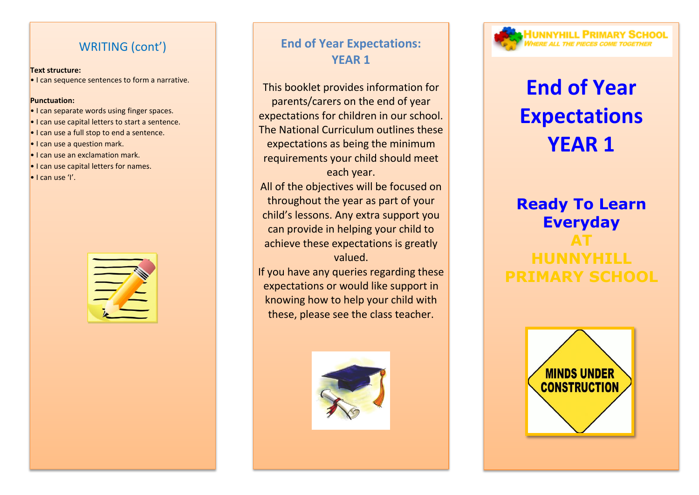### WRITING (cont')

#### **Text structure:**

• I can sequence sentences to form a narrative.

#### **Punctuation:**

- I can separate words using finger spaces.
- I can use capital letters to start a sentence.
- I can use a full stop to end a sentence.
- I can use a question mark.
- I can use an exclamation mark.
- I can use capital letters for names.
- $\bullet$  I can use 'I'.



# **End of Year Expectations: YEAR 1**

This booklet provides information for parents/carers on the end of year expectations for children in our school. The National Curriculum outlines these expectations as being the minimum requirements your child should meet each year.

All of the objectives will be focused on throughout the year as part of your child's lessons. Any extra support you can provide in helping your child to achieve these expectations is greatly valued.

If you have any queries regarding these expectations or would like support in knowing how to help your child with these, please see the class teacher.



# **IUNNYHILL PRIMARY SCHOOL**

# **End of Year Expectations YEAR 1**

# **Ready To Learn Everyday AT HUNNYHILL PRIMARY SCHOOL**